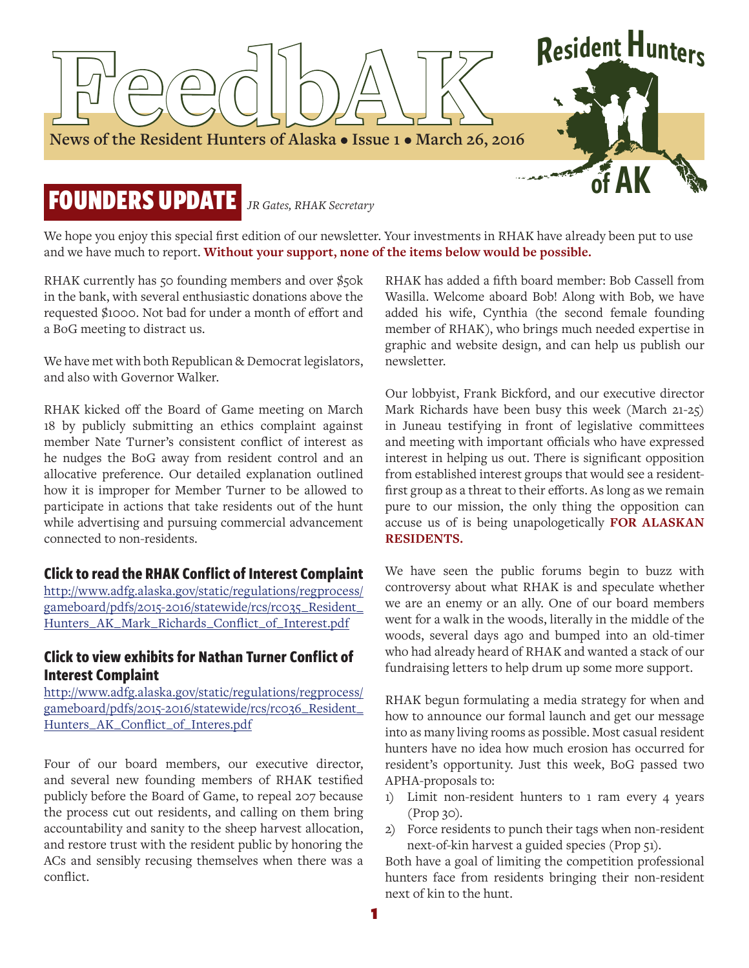

We hope you enjoy this special first edition of our newsletter. Your investments in RHAK have already been put to use and we have much to report. **Without your support, none of the items below would be possible.**

RHAK currently has 50 founding members and over \$50k in the bank, with several enthusiastic donations above the requested \$1000. Not bad for under a month of effort and a BoG meeting to distract us.

We have met with both Republican & Democrat legislators, and also with Governor Walker.

RHAK kicked off the Board of Game meeting on March 18 by publicly submitting an ethics complaint against member Nate Turner's consistent conflict of interest as he nudges the BoG away from resident control and an allocative preference. Our detailed explanation outlined how it is improper for Member Turner to be allowed to participate in actions that take residents out of the hunt while advertising and pursuing commercial advancement connected to non-residents.

#### **Click to read the RHAK Conflict of Interest Complaint**

[http://www.adfg.alaska.gov/static/regulations/regprocess/](http://www.adfg.alaska.gov/static/regulations/regprocess/gameboard/pdfs/2015-2016/statewide/rcs/rc035_Resident_Hunters_AK_Mark_Richards_Conflict_of_Interest.pdf) gameboard/pdfs/2015-2016/statewide/rcs/rc035\_Resident\_ Hunters\_AK\_Mark\_Richards\_Conflict\_of\_Interest.pdf

#### **Click to view exhibits for Nathan Turner Conflict of Interest Complaint**

[http://www.adfg.alaska.gov/static/regulations/regprocess/](http://www.adfg.alaska.gov/static/regulations/regprocess/gameboard/pdfs/2015-2016/statewide/rcs/rc036_Resident_Hunters_AK_Conflict_of_Interes.pdf) gameboard/pdfs/2015-2016/statewide/rcs/rc036\_Resident\_ Hunters\_AK\_Conflict\_of\_Interes.pdf

Four of our board members, our executive director, and several new founding members of RHAK testified publicly before the Board of Game, to repeal 207 because the process cut out residents, and calling on them bring accountability and sanity to the sheep harvest allocation, and restore trust with the resident public by honoring the ACs and sensibly recusing themselves when there was a conflict.

RHAK has added a fifth board member: Bob Cassell from Wasilla. Welcome aboard Bob! Along with Bob, we have added his wife, Cynthia (the second female founding member of RHAK), who brings much needed expertise in graphic and website design, and can help us publish our newsletter.

Our lobbyist, Frank Bickford, and our executive director Mark Richards have been busy this week (March 21-25) in Juneau testifying in front of legislative committees and meeting with important officials who have expressed interest in helping us out. There is significant opposition from established interest groups that would see a residentfirst group as a threat to their efforts. As long as we remain pure to our mission, the only thing the opposition can accuse us of is being unapologetically **FOR ALASKAN RESIDENTS.**

We have seen the public forums begin to buzz with controversy about what RHAK is and speculate whether we are an enemy or an ally. One of our board members went for a walk in the woods, literally in the middle of the woods, several days ago and bumped into an old-timer who had already heard of RHAK and wanted a stack of our fundraising letters to help drum up some more support.

RHAK begun formulating a media strategy for when and how to announce our formal launch and get our message into as many living rooms as possible. Most casual resident hunters have no idea how much erosion has occurred for resident's opportunity. Just this week, BoG passed two APHA-proposals to:

- 1) Limit non-resident hunters to 1 ram every 4 years (Prop 30).
- 2) Force residents to punch their tags when non-resident next-of-kin harvest a guided species (Prop 51).

Both have a goal of limiting the competition professional hunters face from residents bringing their non-resident next of kin to the hunt.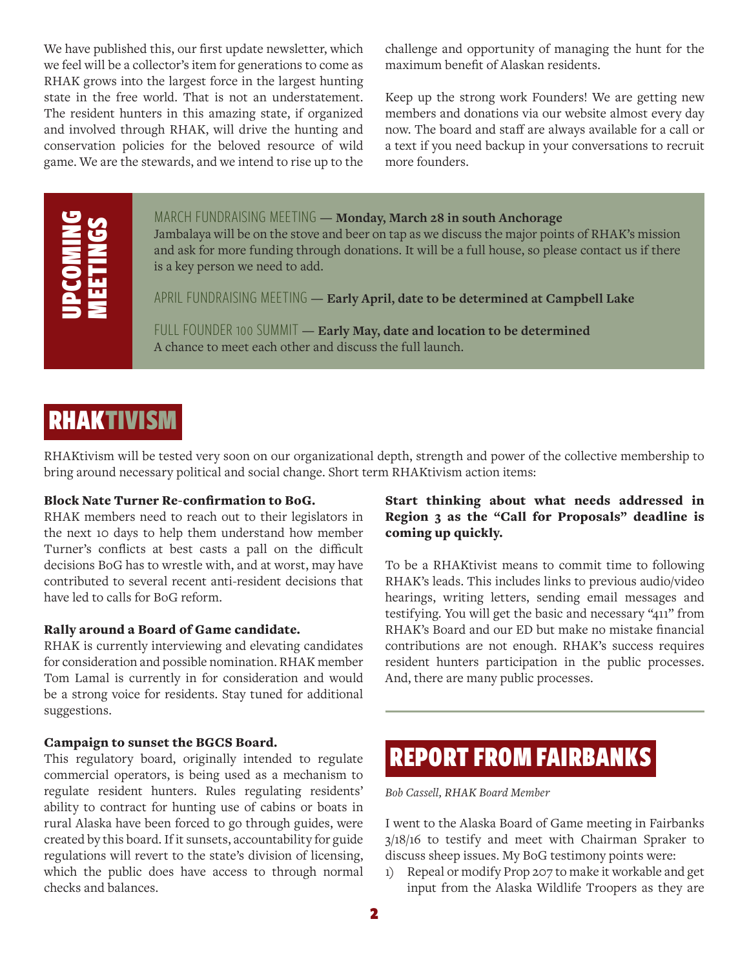We have published this, our first update newsletter, which we feel will be a collector's item for generations to come as RHAK grows into the largest force in the largest hunting state in the free world. That is not an understatement. The resident hunters in this amazing state, if organized and involved through RHAK, will drive the hunting and conservation policies for the beloved resource of wild game. We are the stewards, and we intend to rise up to the

challenge and opportunity of managing the hunt for the maximum benefit of Alaskan residents.

Keep up the strong work Founders! We are getting new members and donations via our website almost every day now. The board and staff are always available for a call or a text if you need backup in your conversations to recruit more founders.

# UPCOMING MEETINGS

#### MARCH FUNDRAISING MEETING **— Monday, March 28 in south Anchorage**

Jambalaya will be on the stove and beer on tap as we discuss the major points of RHAK's mission and ask for more funding through donations. It will be a full house, so please contact us if there is a key person we need to add.

APRIL FUNDRAISING MEETING **— Early April, date to be determined at Campbell Lake**

FULL FOUNDER 100 SUMMIT **— Early May, date and location to be determined** A chance to meet each other and discuss the full launch.

## RHAKTIVISM

RHAKtivism will be tested very soon on our organizational depth, strength and power of the collective membership to bring around necessary political and social change. Short term RHAKtivism action items:

#### Block Nate Turner Re-confirmation to BoG.

RHAK members need to reach out to their legislators in the next 10 days to help them understand how member Turner's conflicts at best casts a pall on the difficult decisions BoG has to wrestle with, and at worst, may have contributed to several recent anti-resident decisions that have led to calls for BoG reform.

#### Rally around a Board of Game candidate.

RHAK is currently interviewing and elevating candidates for consideration and possible nomination. RHAK member Tom Lamal is currently in for consideration and would be a strong voice for residents. Stay tuned for additional suggestions.

#### Campaign to sunset the BGCS Board.

This regulatory board, originally intended to regulate commercial operators, is being used as a mechanism to regulate resident hunters. Rules regulating residents' ability to contract for hunting use of cabins or boats in rural Alaska have been forced to go through guides, were created by this board. If it sunsets, accountability for guide regulations will revert to the state's division of licensing, which the public does have access to through normal checks and balances.

#### Start thinking about what needs addressed in Region 3 as the "Call for Proposals" deadline is coming up quickly.

To be a RHAKtivist means to commit time to following RHAK's leads. This includes links to previous audio/video hearings, writing letters, sending email messages and testifying. You will get the basic and necessary "411" from RHAK's Board and our ED but make no mistake financial contributions are not enough. RHAK's success requires resident hunters participation in the public processes. And, there are many public processes.

## REPORT FROM FAIRBANKS

*Bob Cassell, RHAK Board Member*

I went to the Alaska Board of Game meeting in Fairbanks 3/18/16 to testify and meet with Chairman Spraker to discuss sheep issues. My BoG testimony points were:

1) Repeal or modify Prop 207 to make it workable and get input from the Alaska Wildlife Troopers as they are